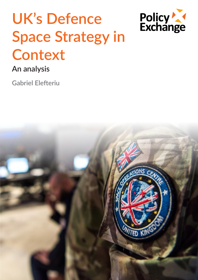# **UK's Defence Space Strategy in Context**



## **An analysis**

**Gabriel Elefteriu**

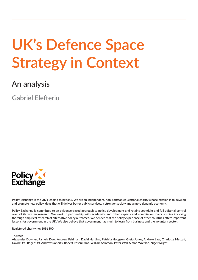## **UK's Defence Space Strategy in Context**

## **An analysis**

**Gabriel Elefteriu**



**Policy Exchange is the UK's leading think tank. We are an independent, non-partisan educational charity whose mission is to develop and promote new policy ideas that will deliver better public services, a stronger society and a more dynamic economy.** 

**Policy Exchange is committed to an evidence-based approach to policy development and retains copyright and full editorial control over all its written research. We work in partnership with academics and other experts and commission major studies involving thorough empirical research of alternative policy outcomes. We believe that the policy experience of other countries offers important lessons for government in the UK. We also believe that government has much to learn from business and the voluntary sector.**

**Registered charity no: 1096300.**

#### **Trustees**

**Alexander Downer, Pamela Dow, Andrew Feldman, David Harding, Patricia Hodgson, Greta Jones, Andrew Law, Charlotte Metcalf, David Ord, Roger Orf, Andrew Roberts, Robert Rosenkranz, William Salomon, Peter Wall, Simon Wolfson, Nigel Wright.**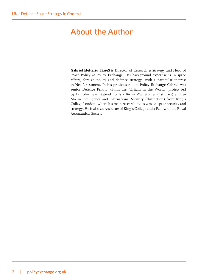## <span id="page-3-0"></span>**About the Author**

**Gabriel Elefteriu FRAeS** is Director of Research & Strategy and Head of Space Policy at Policy Exchange. His background expertise is in space affairs, foreign policy and defence strategy, with a particular interest in Net Assessment. In his previous role at Policy Exchange Gabriel was Senior Defence Fellow within the "Britain in the World" project led by Dr John Bew. Gabriel holds a BA in War Studies (1st class) and an MA in Intelligence and International Security (distinction) from King's College London, where his main research focus was on space security and strategy. He is also an Associate of King's College and a Fellow of the Royal Aeronautical Society.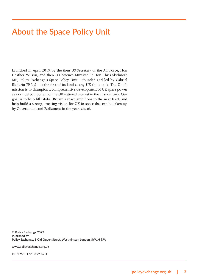## <span id="page-4-0"></span>**About the Space Policy Unit**

Launched in April 2019 by the then US Secretary of the Air Force, Hon Heather Wilson, and then UK Science Minister Rt Hon Chris Skidmore MP, Policy Exchange's Space Policy Unit – founded and led by Gabriel Elefteriu FRAeS – is the first of its kind at any UK think tank. The Unit's mission is to champion a comprehensive development of UK space power as a critical component of the UK national interest in the 21st century. Our goal is to help lift Global Britain's space ambitions to the next level, and help build a strong, exciting vision for UK in space that can be taken up by Government and Parliament in the years ahead.

**© Policy Exchange 2022 Published by Policy Exchange, 1 Old Queen Street, Westminster, London, SW1H 9JA**

**www.policyexchange.org.uk**

**ISBN: 978-1-913459-87-1**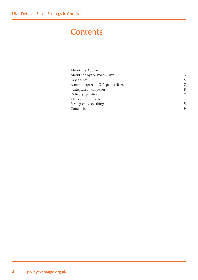## **Contents**

| About the Author                  | $\mathbf{2}$ |
|-----------------------------------|--------------|
| About the Space Policy Unit       | 3            |
| Key points                        | 5            |
| A new chapter in UK space affairs | 7            |
| "Integrated" on paper             | 8            |
| Delivery questions                | 9            |
| The sovereign factor              | 12           |
| Strategically speaking            | 15           |
| Conclusion                        | 19           |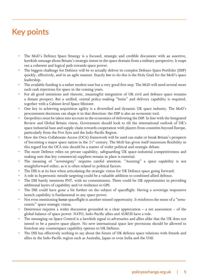## <span id="page-6-0"></span>**Key points**

- The MoD's Defence Space Strategy is a focused, strategic and credible document with an assertive, hawkish message about Britain's strategic intent in the space domain from a military perspective. It maps out a coherent and logical path towards space power.
- The biggest challenge for Defence will be to actually deliver its complex Defence Space Portfolio (DSP) quickly, effectively, and in an agile manner. Exactly *how* to do this is the Holy Grail for the MoD's space leadership.
- The available funding is a rather modest sum but a very good first step. The MoD will need several more such cash injections for space in the coming years.
- For all good intentions and rhetoric, meaningful integration of UK civil and defence space remains a distant prospect. But a unified, central policy-making "brain" and delivery capability is required, together with a Cabinet-level Space Minister.
- One key to achieving acquisition agility is a diversified and dynamic UK space industry. The MoD's procurement decisions can shape it in that direction: the DSP is also an economic tool.
- Geopolitics must be taken into account in the economics of delivering the DSP. In line with the Integrated Review and Global Britain vision, Government should look to tilt the international outlook of UK's space industrial base and supply chain towards cooperation with players from countries beyond Europe, particularly from the Five Eyes and the Indo-Pacific Region.
- How the Own-Collaborate-Access (OCA) framework will be used can make or break Britain's prospects of becoming a major space nation in the 21<sup>st</sup> century. The MoD has given itself maximum flexibility in this regard but the OCA mix should be a matter of wider political and strategic debate.
- The more Defence relies on private capability, safeguarding UK space-industrial competitiveness and making sure that key commercial suppliers remain in place is essential.
- The meaning of "sovereignty" requires careful attention. "Assuring" a space capability is not straightforward either, as it is often related to political factors.
- The DSS is at its best when articulating the strategic vision for UK Defence space going forward.
- A role in hypersonic missile targeting could be a valuable addition to combined allied defence.
- The DSS barely mentions PNT, with no commitments. There could be UK opportunities in providing additional layers of capability and/or resilience to GPS.
- The DSS could have gone a bit further on the subject of spaceflight. Having a sovereign responsive launch capability is fundamental to any space power.
- Not even mentioning *human* spaceflight is another missed opportunity. It reinforces the sense of a "terracentric" space strategic vision.
- Deterrence requires a wider discussion grounded in a clear appreciation  $-$  a net assessment  $-$  of the global balance of space power. NATO, Indo-Pacific allies and AUKUS have a role.
- The messaging on Space Control is a hawkish signal to adversaries and allies alike that the UK does not intend to be a passive space player. No new international space law provisions should be allowed to foreclose any counterspace capability options to UK Defence.
- The DSS has effectively nothing to say about the future of UK defence space relations with friends and allies in the Indo-Pacific region such as Australia, Japan or even India and the UAE.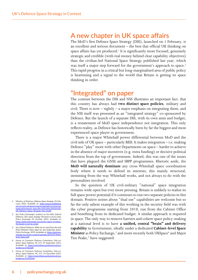#### **A new chapter in UK space affairs**

The MoD's first Defence Space Strategy (DSS), launched on 1 February, is an excellent and serious document – the best that official UK thinking on space affairs has yet produced.<sup>1</sup> It is significantly more focused, genuinely strategic and credible (with real money behind clear capability objectives) than the civilian-led National Space Strategy published last year, which was itself a major step forward for the government's approach to space.<sup>[2](#page-7-1)</sup> This rapid progress in a critical but long-marginalised area of public policy is heartening and a signal to the world that Britain is getting its space thinking in order.

#### **"Integrated" on paper**

The contrast between the DSS and NSS illustrates an important fact: that this country has always had **two distinct space policies**, military and civil. There is now – rightly – a major emphasis on integrating them, and the NSS itself was presented as an "integrated strategy" co-sponsored by Defence. But the launch of a separate DSS, with its own aims and budget, is a restatement of MoD space independence not integration. This only reflects reality, as Defence has historically been by far the biggest and most experienced space player in government.

There is a major Whitehall power differential between MoD and the civil side of UK space – particularly BEIS. It makes integration – i.e. making Defence "play" more with other Departments on space – harder to achieve in the absence of major incentives (e.g. extra funding) or decisive political direction from the top of government. Indeed, this was one of the issues that have plagued the GNSS and SBPP programmes. Rhetoric aside, the **MoD will naturally dominate** any cross-Whitehall space coordination body where it needs to defend its interests; this mainly structural, stemming from the way Whitehall works, and not always to do with the personalities involved.

So the question of UK civil-military "national" space integration remains wide open but ever more pressing. Britain is unlikely to realise its full space power potential if it continues to run two separate policies in this domain. Positive noises about "dual use" capabilities are welcome but so far the only salient example of this working in the security field was with the cyber programme starting from 2010, run from the Cabinet Office and benefiting from its dedicated budget. A similar approach is required in space. The only way to remove barriers and cohere space policy-making at a national level is to have **a unified, central "brain" and delivery capability** in Government, ideally under a dedicated **Cabinet-level Space Minister** as Policy Exchange,<sup>3</sup> and more recently both UKSpace<sup>[4](#page-7-3)</sup> and Major Tim Peake,<sup>[5](#page-7-4)</sup> have suggested.

- <span id="page-7-0"></span>1. Ministry of Defence, *Defence Space Strategy*, 01 February 2022, Available at: [https://assets.publishing.](https://assets.publishing.service.gov.uk/government/uploads/system/uploads/attachment_data/file/1051456/20220120-UK_Defence_Space_Strategy_Feb_22.pdf) [service.gov.uk/government/uploads/system/up](https://assets.publishing.service.gov.uk/government/uploads/system/uploads/attachment_data/file/1051456/20220120-UK_Defence_Space_Strategy_Feb_22.pdf)[loads/attachment\\_data/file/1051456/20220120-](https://assets.publishing.service.gov.uk/government/uploads/system/uploads/attachment_data/file/1051456/20220120-UK_Defence_Space_Strategy_Feb_22.pdf) [UK\\_Defence\\_Space\\_Strategy\\_Feb\\_22.pdf](https://assets.publishing.service.gov.uk/government/uploads/system/uploads/attachment_data/file/1051456/20220120-UK_Defence_Space_Strategy_Feb_22.pdf)
- <span id="page-7-1"></span>2. See Policy Exchange's analysis on the NSS: Gabriel Elefteriu, *UK's space strategy: the boost is yet to come*, Policy Exchange, 01 October 2021, Available at: [https://policyexchange.org.uk/uks-space-strategy](https://policyexchange.org.uk/uks-space-strategy-the-boost-is-yet-to-come/)the-boost-is-yet-to-come
- <span id="page-7-2"></span>3. See Gabriel Elefteriu, *What do we want from the next Prime Minister? Policy ideas for new leadership: Space*, Policy Exchange, 2019, Available at: <u>https://policyex-</u><br><u>change.org.uk/wp-content/uploads/2019/07/Mani-</u> [festo-Space.pdf](https://policyexchange.org.uk/wp-content/uploads/2019/07/Manifesto-Space.pdf)
- <span id="page-7-3"></span>4. House of Commons Defence Committee, *Oral evi-dence: Space Defence, HC 271*, 07 September 2021, Available at: [https://committees.parliament.uk/ora](https://committees.parliament.uk/oralevidence/2702/pdf/)levidence/2702/ndf/
- <span id="page-7-4"></span>5. House of Commons Defence Committee, *Oral evidence: Space Defence*, HC 271, 14 December 2021, Available at: [https://committees.parliament.uk/ora](https://committees.parliament.uk/oralevidence/3193/html/)[levidence/3193/html/](https://committees.parliament.uk/oralevidence/3193/html/)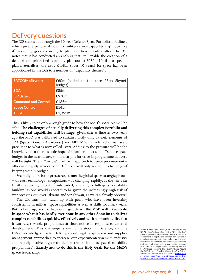### <span id="page-8-0"></span>**Delivery questions**

The DSS stands out through the 10-year Defence Space Portfolio it outlines, which gives a picture of how UK military space capability *might* look like if everything goes according to plan. But here details matter. The DSS notes that it has conducted an analysis that "*will* enable the creation of a detailed and prioritised capability plan out to 2030". Until that specific plan materialises, the extra £1.4bn (over 10 years) for space has been apportioned in the DSS to a number of "capability themes":

| <b>SATCOM (Skynet)</b>     | £60m (added to the core £5bn Skynet<br>budget) |
|----------------------------|------------------------------------------------|
| <b>SDA</b>                 | £85m                                           |
| <b>ISR</b> (Istari)        | £970m                                          |
| <b>Command and Control</b> | £135m                                          |
| <b>Space Control</b>       | £145m                                          |
| <b>TOTAL</b>               | £1,395m                                        |

This is likely to be only a rough guide to how the MoD's space pie will be split. **The challenges of actually delivering this complex Portfolio and fielding real capabilities will be huge**, given that as little as two years ago the MoD was calibrated to sustain mostly only Skynet, elements of SDA (Space Domain Awareness) and ARTEMIS, the relatively small scale precursor to what is now called Istari. Adding to the pressure will be the knowledge that there is little hope of a further boost to the Defence space budget in the near future, so the margins for error in programme delivery will be tight. The RCO-style<sup>[6](#page-8-1)</sup> "fail fast" approach to space procurement otherwise rightly advocated in Defence – will only add to the challenge of keeping within budget.

Secondly, there is the **pressure of time**: the global space strategic picture – threats, technology, competitors – is changing rapidly. Is the ten-year  $£1.4$ bn spending profile front-loaded, allowing a full-speed capability buildup, as one would expect it to be given the increasingly high risk of war breaking out over Ukraine and/or Taiwan, as we can already observe?

The UK must first catch up with peers who have been investing consistently in military space capabilities as well as skills for many years. But to keep up, and perhaps even get ahead, **the MoD will have to do in space what it has hardly ever done in any other domain: to deliver complex capabilities quickly, effectively and with so much agility** that it can recast whole programmes at short notice in response to external developments. This challenge is well understood in Defence, and the DSS acknowledges it when talking about "agile acquisition and supplier management approaches to increase our experimentation with industry and rapidly evolve high-tech demonstrators into fast-paced capability programmes". **Exactly** *how* **to do this is the Holy Grail for the MoD's space leadership.**

<span id="page-8-1"></span>6. Rapid Capabilities Office (RCO). Similarly to the US Air Force's Rapid Capabilities Office, the RAF Rapid Capabilities Office seeks to ensure the swift deployment of capabilities through non-traditional models of procurement – essentially removing large amounts of red tape from conventional procurement methods, and often seeking commercial partners that offer technologies which are already mature. See Air Force Magazine, The Royal Air Force Adopts the RCO, Expects "Healthy Competition" in Future Aircraft, 14 October 2019, Available at: https: [airforcemag.com/the-royal-air-force-adopts-the](https://www.airforcemag.com/the-royal-air-force-adopts-the-rco-expects-healthy-competition-in-future-aircraft/)[rco-expects-healthy-competition-in-future-aircraft/](https://www.airforcemag.com/the-royal-air-force-adopts-the-rco-expects-healthy-competition-in-future-aircraft/)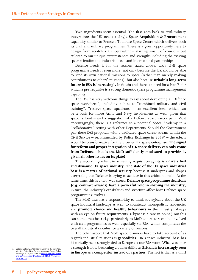<span id="page-9-0"></span>Two ingredients seem essential. The first goes back to civil-military integration: the UK needs **a single Space Acquisition & Procurement**  capability similar to France's Toulouse Space Centre which delivers both its civil and military programmes. There is a great opportunity here to design from scratch a UK equivalent – starting small, of course – but tailored to our unique circumstances and strengths including the existing space scientific and industrial base, and international partnerships.

Defence needs it for the reasons stated above. UK's civil space programme needs it even more, not only because the UK should be able to send its own national missions to space (rather than merely making contributions to others' missions); but also because **Britain's long-term future in ESA is increasingly in doubt** and there is a need for a Plan B, for which a pre-requisite is a strong domestic space programme management capability.

The DSS has very welcome things to say about developing a "Defence space workforce", including a hint at "combined military and civil training", "reserve space squadrons" – an excellent idea, which can be a basis for more Army and Navy involvement as well, given that space is Joint – and a suggestion of a Defence space career path. Most encouragingly, there is a reference to a potential Space Academy in a "collaborative" setting with other Departments. Should the Government pair these DSS proposals with a dedicated space career stream within the Civil Service – recommended by Policy Exchange in  $2019<sup>7</sup>$  $2019<sup>7</sup>$  $2019<sup>7</sup>$  – the effects would be transformative for the broader UK space enterprise. **The signal for reform and proper integration of UK space delivery can only come from Defence – but is the MoD sufficiently motivated to provide it, given all other issues on its plate?**

The second ingredient in achieving acquisition agility is a **diversified and dynamic UK space industry**. **The state of the UK space industrial base is a matter of national security** because it underpins and shapes everything that Defence is trying to achieve in this critical domain. At the same time, this is a two-way street: **Defence space programme decisions (e.g. contract awards) have a powerful role in shaping the industry**; in turn, the industry's capabilities and structure affect how Defence space programming evolves.

The MoD thus has a responsibility to think strategically about the UK space industrial landscape as well, to counteract monopolistic tendencies and **promote choice and healthy behaviours** in the industry, always with an eye on future requirements. (Skynet is a case in point.) But this can sometimes be tricky, particularly as MoD contractors can be involved with civil programmes as well, especially via ESA, which complicates the overall industrial calculus for a variety of reasons.

The other aspect that MoD space planners have to take account of as regards industrial relations is **geopolitics**. UK's space industrial base has historically been strongly tied to Europe via our ESA work. What was once a strength is now becoming a vulnerability as **Britain is increasingly seen**  <sup>7.</sup> Gabriel Elefteriu, *What do we want from the next Prime*<br> *Minister? Policy ideas for new leadership: Space*, Policy<br> *Exchange. 2019. Available at: https://policyexchange.*<br> **in Europe as a competitor instead of a pa** 

<span id="page-9-1"></span>*Minister? Policy ideas for new leadership: Space*, Policy Exchange, 2019, Available at: https://pol [org.uk/wp-content/uploads/2019/07/Manifes](https://policyexchange.org.uk/wp-content/uploads/2019/07/Manifesto-Space.pdf)[to-Space.pdf](https://policyexchange.org.uk/wp-content/uploads/2019/07/Manifesto-Space.pdf)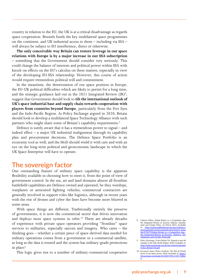<span id="page-10-0"></span>country in relation to the EU, the UK is at a critical disadvantage as regards space cooperation: Brussels funds the key multilateral space programmes on the continent, and UK industrial access to them – including via ESA – will always be subject to EU interference, direct or otherwise.

**The only conceivable way Britain can restore leverage in our space relations with Europe is by a major increase in our ESA subscription** – something that the Government should consider very seriously. This could change the balance of interests and political power within ESA with knock-on effects on the EU's calculus on these matters, especially in view of the developing EU-ESA relationship. However, this course of action would require tremendous political will and commitment.

In the meantime, the deterioration of our space position in Europe, the EU-UK political difficulties which are likely to persist for a long time, and the strategic guidance laid out in the 2021 Integrated Review  $(IR)^8$  $(IR)^8$ , suggest that Government should look to **tilt the international outlook of UK's space industrial base and supply chain towards cooperation with players from countries beyond Europe**, particularly from the Five Eyes and the Indo-Pacific Region. As Policy Exchange argued in 2020, Britain should look to develop a multilateral Space Technology Alliance with such partners who might share some of Britain's capability requirements.<sup>[9](#page-10-2)</sup>

Defence is surely aware that it has a tremendous power to signal – and indeed effect – a major UK industrial realignment through its capability plan and procurement decisions. The Defence Space Portfolio is an economic tool as well, and the MoD should wield it with care and with an eye on the long-term political and geoeconomic landscape in which the UK Space Enterprise will have to operate.

#### **The sovereign factor**

One outstanding feature of military space capability is the apparent flexibility available in choosing how to meet it, from the point of view of government control. In the sea, air and land domains almost all frontline battlefield capabilities are Defence owned and operated, be they warships, warplanes or armoured fighting vehicles; commercial contractors are generally involved in support roles like logistics, although in recent years with the rise of drones and cyber the lines have become more blurred in some areas.

With space things are different. Traditionally entirely the preserve of governments, it is now the commercial sector that drives innovation and deploys most space systems in orbit.<sup>10</sup> There are already decades of experience with private space operators providing "frontline" space services to militaries, especially satcom and imagery. Who cares – the thinking goes – whether a certain piece of space-derived data needed for military operations comes from a government or a commercial satellite, as long as the data is trusted and the system has military-grade protections in place?

This logic gives rise to a number of military-commercial cooperative

- <span id="page-10-1"></span>8. Cabinet Office, *Global Britain in a Competitive Age: the Integrated Review of Security, Defence, Develop-ment and Foreign Policy*, 16 March 2021, Available at: [https://assets.publishing.service.gov.uk/govern-](https://assets.publishing.service.gov.uk/government/uploads/system/uploads/attachment_data/file/975077/Global_Britain_in_a_Competitive_Age-_the_Integrated_Review_of_Security__Defence__Development_and_Foreign_Policy.pdf)[ment/uploads/system/uploads/attachment\\_data/](https://assets.publishing.service.gov.uk/government/uploads/system/uploads/attachment_data/file/975077/Global_Britain_in_a_Competitive_Age-_the_Integrated_Review_of_Security__Defence__Development_and_Foreign_Policy.pdf) file/975077/Global\_Britain\_in\_a\_Competitive\_Agethe Integrated Review of Security\_Defence\_De[velopment\\_and\\_Foreign\\_Policy.pdf](https://assets.publishing.service.gov.uk/government/uploads/system/uploads/attachment_data/file/975077/Global_Britain_in_a_Competitive_Age-_the_Integrated_Review_of_Security__Defence__Development_and_Foreign_Policy.pdf)
- <span id="page-10-2"></span>9. Policy Exchange, *A Very British Tilt: Towards a new UK strategy in the Indo-Pacific Region*, 2020, Available at: [https://policyexchange.org.uk/wp-content/uploads/](https://policyexchange.org.uk/wp-content/uploads/A-Very-British-Tilt.pdf) [A-Very-British-Tilt.pdf](https://policyexchange.org.uk/wp-content/uploads/A-Very-British-Tilt.pdf)
- <span id="page-10-3"></span>10. European Space Policy Institute, *The Rise of Private Actors in the Space Sector*, 2018, Available at: [https://](https://link.springer.com/book/10.1007/978-3-319-73802-4) [link.springer.com/book/10.1007/978-3-319-73802-](https://link.springer.com/book/10.1007/978-3-319-73802-4) [4](https://link.springer.com/book/10.1007/978-3-319-73802-4)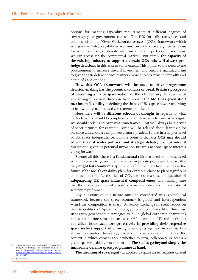options for meeting capability requirements at different degrees of sovereignty or government control. The DSS formally recognises and codifies this in the "**Own-Collaborate-Access**" (OCA) framework which will govern "what capabilities we must own on a sovereign basis, those for which we can collaborate with our allies and partners … and those we can access via the commercial market". But surely **the capacity of the existing industry to support a certain OCA mix will always prejudge decisions** in this area to some extent. This points to the need to use procurement to increase inward investment and onshore manufacturing to give the UK defence space planners more choice across the breadth and depth of OCA options.

**How this OCA framework will be used to drive programme decision-making has the potential to make or break Britain's prospects of becoming a major space nation in the 21<sup>st</sup> century.** In absence of any stronger political direction from above, **the MoD has given itself maximum flexibility** in defining the shape of UK's space power according to its own internal "critical assessments" of the issue.

Here there will be **different schools of thought** in regards to what OCA elements should be emphasised – i.e. how much space sovereignty we should seek – and over what timeframes. Cost will always be a driver of short-termism for example. Some will be relaxed about leaning a lot on close allies, others might see a more prudent future in a higher level of UK space independence. But the point is that **the OCA mix should be a matter of wider political and strategic debate**, not just internal assessment, given its potential impact on Britain's national space interests going forward.

Beyond all this, there is a **fundamental risk** that needs to be discussed when it comes to government reliance on private providers: the fact that they **might fail commercially** or be interfered with by hostile actors in the future. If the MoD's capability plan, for example, chose to place significant emphasis on the "Access" leg of OCA for cost reasons, the question of **safeguarding UK space-industrial competitivenes**s and making sure that those key commercial suppliers remain in place acquires a national security significance.

Any questions of this nature must be considered in a geopolitical framework because the space economy is global and interdependent – and the competition is sharp. As Policy Exchange's recent report on the Geopolitics of Space Technology noted, countries like China use strongarm geoeconomic strategies to build global corporate champions and secure business for its space sector.<sup>11</sup> In turn, "the UK and its friends and allies should **act more proactively in providing their respective space sectors support** in ensuring a level playing field in key markets abroad to counter China's aggressive economic approach"[.12](#page-11-1) This is the context in which choices about whether to own, collaborate or access a given space capability must be made. **The stakes go beyond simply the immediate defence space programme at hand.**

<span id="page-11-1"></span>12. Ibid., Page 21.

**The meaning of sovereignty** as applied to space assets requires careful

<span id="page-11-0"></span><sup>11.</sup> J. Sheldon, *Britain and the Geopolitics of Space Technology, Policy Exchange, 05 November 2021, Avail-*<br>able at: <u>[https://policyexchange.org.uk/wp-content/](https://policyexchange.org.uk/wp-content/uploads/Britain-and-the-Geopolitics-of-Space-Technology-1.pdf)</u> [uploads/Britain-and-the-Geopolitics-of-Space-Tech](https://policyexchange.org.uk/wp-content/uploads/Britain-and-the-Geopolitics-of-Space-Technology-1.pdf)[nology-1.pdf](https://policyexchange.org.uk/wp-content/uploads/Britain-and-the-Geopolitics-of-Space-Technology-1.pdf)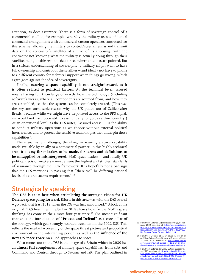attention, as does assurance. There is a form of sovereign control of a commercial satellite, for example, whereby the military uses confidential command arrangements with commercial satcom operators contracted for this scheme, allowing the military to control/steer antennas and transmit data on the contractor's satellites at a time of its choosing, with the contractor not knowing what the military is actually doing through their satellite, being unable read the data or see where antennas are pointed. But in a stricter understanding of sovereignty, a military might want to have full ownership and control of the satellites – and ideally not have to phone to a different country for technical support when things go wrong, which again goes against the idea of sovereignty.

Finally, **assuring a space capability is not straightforward, as it is often related to political factors**. At the technical level, assured means having full knowledge of exactly how the technology (including software) works, where all components are sourced from, and how they are assembled, so that the system can be completely trusted. (This was the key and unsolvable reason why the UK pulled out of Galileo after Brexit: because while we might have negotiated access to the PRS signal, we would not have been able to assure it any longer, as a third country.) At an operational level, as the DSS notes, "assured access … is the ability to conduct military operations as we choose without external political interference, and to protect the sensitive technologies that underpin those capabilities".

There are many challenges, therefore, in assuring a space capability made available by an ally or a commercial partner. In this highly technical area, it is **easy for mistakes to be made, for terms and definitions to be misapplied or misinterpreted**. MoD space leaders – and ideally UK political decision-makers – must ensure the highest and strictest standards of assurance through the OCA framework. It is hopefully not a bad sign that the DSS mentions in passing that "there will be differing national levels of assured access requirements".<sup>13</sup>

#### **Strategically speaking**

**The DSS is at its best when articulating the strategic vision for UK Defence space going forward.** Efforts in this area – as with the DSS overall – go back to at least 2018 when the DSS was first announced.<sup>14</sup> A look at the original "DSS headlines" drafted in 2018 shows how far the MoD's space thinking has come in the almost four year since[.15](#page-12-2) The most significant change is the introduction of "**Protect and Defend**" as a core pillar of the strategy, which gets strongly-worded treatment in the 2022 DSS. This reflects the marked worsening of the space threat picture and geopolitical environment in the intervening period, as well as **the influence of the new US Space Force** on allied approaches to space.

What comes out of the DSS is the image of a Britain which in 2030 has an **almost full complement** of military space capabilities, from SDA and Command and Control through to Satcom and ISR. The plan outlined in

<span id="page-12-0"></span><sup>13.</sup> Ministry of Defence, *Defence Space Strategy*, 01 February 2022, Available at: [https://assets.publishing.](https://assets.publishing.service.gov.uk/government/uploads/system/uploads/attachment_data/file/1051456/20220120-UK_Defence_Space_Strategy_Feb_22.pdf) [service.gov.uk/government/uploads/system/up](https://assets.publishing.service.gov.uk/government/uploads/system/uploads/attachment_data/file/1051456/20220120-UK_Defence_Space_Strategy_Feb_22.pdf)[loads/attachment\\_data/file/1051456/20220120-](https://assets.publishing.service.gov.uk/government/uploads/system/uploads/attachment_data/file/1051456/20220120-UK_Defence_Space_Strategy_Feb_22.pdf) [UK\\_Defence\\_Space\\_Strategy\\_Feb\\_22.pdf](https://assets.publishing.service.gov.uk/government/uploads/system/uploads/attachment_data/file/1051456/20220120-UK_Defence_Space_Strategy_Feb_22.pdf)

<span id="page-12-1"></span><sup>14.</sup> Ministry of Defence et al., *UK poised for take-off on ambitious Defence Space Strategy with personnel boost*, 21 May 2018, Available at: [https://www.gov.uk/](https://www.gov.uk/government/news/uk-poised-for-take-off-on-ambitious-defence-space-strategy-with-personnel-boost) [government/news/uk-poised-for-take-off-on-ambi](https://www.gov.uk/government/news/uk-poised-for-take-off-on-ambitious-defence-space-strategy-with-personnel-boost)[tious-defence-space-strategy-with-personnel-boost](https://www.gov.uk/government/news/uk-poised-for-take-off-on-ambitious-defence-space-strategy-with-personnel-boost)

<span id="page-12-2"></span><sup>15.</sup> Ministry of Defence, *Towards a Defence Space Strate*gy, 2018, Available at: https://assets.pub [vice.gov.uk/government/uploads/system/uploads/](https://assets.publishing.service.gov.uk/government/uploads/system/uploads/attachment_data/file/712376/MOD_Pocket_Tri-Fold_-_Defence_Space_Strategy_Headlines.pdf) [attachment\\_data/file/712376/MOD\\_Pocket\\_Tri-](https://assets.publishing.service.gov.uk/government/uploads/system/uploads/attachment_data/file/712376/MOD_Pocket_Tri-Fold_-_Defence_Space_Strategy_Headlines.pdf)Fold - Defence Space Strategy Headlines.pdf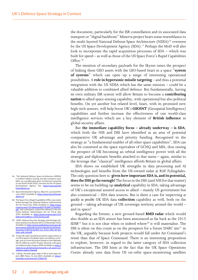<span id="page-13-0"></span>the document, particularly for the ISR constellation and its associated data transport or "digital backbone" Minerva project bears some resemblance to the multi-layered National Defense Space Architecture (NDSA)<sup>16</sup> overseen by the US Space Development Agency (SDA).<sup>17</sup> Perhaps the MoD will also look to incorporate the rapid acquisition processes of SDA – which was built for speed – as well as those of the US Space Force's Rapid Capabilities Office.<sup>[18](#page-13-3)</sup>

The mention of secondary payloads for the Skynet raises the prospect of linking these GEO assets with the LEO-based Istari in a space "**system of systems**" which can open up a range of interesting operational possibilities. A **role in hypersonic missile targeting** – and thus a potential integration with the US NDSA which has the same mission – could be a valuable addition to combined allied defence. But fundamentally, having its own military ISR system will allow Britain to become a **contributing nation** to allied space sensing capability, with operational but also political benefits. On yet another but related level, Istari, with its promised new high-tech sensors, will help boost UK's **GEOINT** (Geospatial Intelligence) capabilities and further increase the effectiveness of our world-class intelligence services which are a key element of **British influence** in global security affairs.

But **the immediate capability focus – already underway – is SDA**, which both the NSS and DSS have identified as an area of potential comparative UK advantage and priority funding. Recognised in the strategy as "a fundamental enabler of all other space capabilities", SDA can also be construed as the space equivalent of GCHQ and MI6, thus raising the prospect of UK becoming an orbital intelligence power with all the strategic and diplomatic benefits attached to that status – again, similar to the leverage that "classical" intelligence affords Britain in global affairs.

SDA draws on established UK strengths in data processing and AI technologies and benefits from the US-owned radar at RAF Fylingdales. The only question here is: **given how important SDA is, and its potential, does the DSS go far enough?** The focus in the DSS (and NSS for that matter) seems to be on building up **analytical** capability in SDA, taking advantage of UK's exceptional assured access to allied – mainly US government but also commercial – SDA data sources. But is there a case for improving *as quickly as possible* UK SDA data **collection** capability as well, both on the ground – taking advantage of UK sovereign territory around the world – and in space?

Regarding the former, a new ground-based **BMD radar** which would also double as an SDA sensor has been announced as far back as the 2015  $SDSR<sup>19</sup>$  but it is not clear when or indeed where<sup>[20](#page-13-5)</sup> it will materialise. The DSS is silent on this count as on the prospects for a future DARC site $^{21}$  in the UK, arguably because both projects would fall under Air Command's remit than that of Space Command. There is an interesting proposition to explore, however, in regard to the latter category of SDA collection infrastructure. The DSS hints at the fact that the UK Space Operations Centre already uses data from US on-orbit space-monitoring satellites

- <span id="page-13-1"></span>16. The National Defense Space Architecture (NDSA), is resilient military sensing and data transport capa-bility via a proliferated space architecture primarily in Low Earth Orbit (LEO), overseen by the US Space Development Agency. See https [home/about-us/](https://www.sda.mil/home/about-us/)
- <span id="page-13-2"></span>17. Space Development Agency, *About Us*, accessed February 2022, Available at: https://www.sda.mil/ho [about-us/](https://www.sda.mil/home/about-us/)
- <span id="page-13-3"></span>18. The Space Force Rapid Capabilities Office was established through the National Defense Authorization Act for Fiscal Year 2018, Available at: [https://www.](https://www.congress.gov/115/plaws/publ91/PLAW-115publ91.pdf) v/115/plaws/publ91/PLAW-115publ91. [pdf](https://www.congress.gov/115/plaws/publ91/PLAW-115publ91.pdf); with subsequent authorities defined in the National Defense Authorization Act for Fiscal Year 2019, Available at: [https://www.congress.gov/115/](https://www.congress.gov/115/bills/hr5515/BILLS-115hr5515enr.pdf) [bills/hr5515/BILLS-115hr5515enr.pdf](https://www.congress.gov/115/bills/hr5515/BILLS-115hr5515enr.pdf)
- <span id="page-13-4"></span>19. HMG, National Security Strategy and Strategic Defence and Security Review 2015, 23 November 2015, Available at: [https://assets.publishing.service.gov.uk/](https://assets.publishing.service.gov.uk/government/uploads/system/uploads/attachment_data/file/478933/52309_Cm_9161_NSS_SD_Review_web_only.pdf) government/uploads/system/uploads/attachment [data/file/478933/52309\\_Cm\\_9161\\_NSS\\_SD\\_Re](https://assets.publishing.service.gov.uk/government/uploads/system/uploads/attachment_data/file/478933/52309_Cm_9161_NSS_SD_Review_web_only.pdf)[view\\_web\\_only.pdf](https://assets.publishing.service.gov.uk/government/uploads/system/uploads/attachment_data/file/478933/52309_Cm_9161_NSS_SD_Review_web_only.pdf)
- <span id="page-13-5"></span>20. A new UK radar should be located in a place where it can fill in gaps in the global space surveillance coverage, such as in the Ascension Islands or the Falklands. See M. Hilborne and M. Presley, Towards a UK space surveillance policy, August 2020, Available at: [https://](https://www.kcl.ac.uk/dsd/assets/towards-a-uk-space-surveillance-policy-final.pdf) [www.kcl.ac.uk/dsd/assets/towards-a-uk-space-sur](https://www.kcl.ac.uk/dsd/assets/towards-a-uk-space-surveillance-policy-final.pdf)[veillance-policy-final.pdf](https://www.kcl.ac.uk/dsd/assets/towards-a-uk-space-surveillance-policy-final.pdf)
- <span id="page-13-6"></span>21. J. Beale, *US wants giant radar in UK to track space ob*jects, BBC News, 16 July 2021, Available at: [https://](https://www.bbc.co.uk/news/uk-57866734) [www.bbc.co.uk/news/uk-57866734](https://www.bbc.co.uk/news/uk-57866734)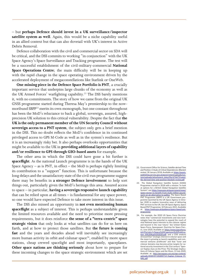– but **perhaps Defence should invest in a UK surveillance/inspector satellite system as well**. Again, this would be a niche capability useful in an allied context but that can also dovetail with UK's interest in Active Debris Removal.

Defence collaboration with the civil and commercial sector on SDA will be critical, and the DSS commits to working "in conjunction" with the UK Space Agency's Space Surveillance and Tracking programme. The test will be a successful establishment of the civil-military-commercial **National Space Operations Centre**; the main difficulty will be in keeping up with the rapid change in the space operating environment driven by the accelerated deployment of megaconstellations like Starlink or OneWeb.

**One missing piece in the Defence Space Portfolio is PNT**, a crucially important service that underpins large chunks of the economy as well as the UK Armed Forces' warfighting capability.<sup>[22](#page-14-0)</sup> The DSS barely mentions it, with no commitments. The story of how we came from the original UK GNSS programme started during Theresa May's premiership to the now-moribund SBPP<sup>[23](#page-14-1)</sup> merits its own monograph, but one constant throughout has been the MoD's reluctance to back a global, sovereign, assured, highprecision UK solution to this critical vulnerability. Despite the fact that **the UK is the only permanent member of the UN Security Council without sovereign access to a PNT system**, the subject only gets a brief mention in the DSS. This no doubt reflects the MoD's confidence in its continued privileged access to GPS M-Code as well as in the system's resilience. But it is an increasingly risky bet. It also perhaps overlooks opportunities that might be available to the UK in **providing additional layers of capability and/or resilience to GPS through GEO-based assets** for example.

The other area in which the DSS could have gone a bit further is **spaceflight**. As the national Launch programme is in the hands of the UK Space Agency – as is PNT, in effect – the MoD is perhaps rightly limiting its contribution to a "support" function. This is unfortunate because the long delays and the unsatisfactory state of the civil-run programme suggest there may be benefits in **a stronger Defence involvement** to help sort things out, particularly given the MoD's heritage this area. Assured access to space – in particular, **having a sovereign responsive launch capability** that can be relied upon at all times – is fundamental for any space power, so one would have expected Defence to take more interest in this issue.

The DSS also missed an opportunity in **not even mentioning human spaceflight** as a subject of interest. This is perhaps understandable given the limited resources available and the need to prioritise more pressing requirements, but it does reinforce **the sense of a "terra-centric" space strategic vision** that only looks at what satellites can do for us here on Earth, and at how to protect those satellites. But **the future is coming fast** and the years and decades ahead will inevitably see increasingly more human activity in orbit and cislunar space<sup>24</sup>, enabled by more space stations, cheap crewed spacelight and most importantly, spaceplanes. **Other space nations are thinking seriously** about how to prepare for these incoming changes to the space strategic environment which are set

- <span id="page-14-0"></span>22. Government Office for Science, *Satellite-derived Time and Position: A Study of Critical Dependencies (Blackett review)*, 30 January 2018, Available at: [https://assets.](https://assets.publishing.service.gov.uk/government/uploads/system/uploads/attachment_data/file/676675/satellite-derived-time-and-position-blackett-review.pdf) [publishing.service.gov.uk/government/uploads/sys](https://assets.publishing.service.gov.uk/government/uploads/system/uploads/attachment_data/file/676675/satellite-derived-time-and-position-blackett-review.pdf)[tem/uploads/attachment\\_data/file/676675/satel](https://assets.publishing.service.gov.uk/government/uploads/system/uploads/attachment_data/file/676675/satellite-derived-time-and-position-blackett-review.pdf)[lite-derived-time-and-position-blackett-review.pdf](https://assets.publishing.service.gov.uk/government/uploads/system/uploads/attachment_data/file/676675/satellite-derived-time-and-position-blackett-review.pdf)
- <span id="page-14-1"></span>23. The Global Navigation Satellite System (GNSS) Programme started in 2018 with a mission "to look at options for a British Global Navigation Satellite System"; see [https://www.gov.uk/government/news/](https://www.gov.uk/government/news/space-sector-to-benefit-from-multi-million-pound-work-on-uk-alternative-to-galileo) [space-sector-to-benefit-from-multi-million-pound](https://www.gov.uk/government/news/space-sector-to-benefit-from-multi-million-pound-work-on-uk-alternative-to-galileo)[work-on-uk-alternative-to-galileo](https://www.gov.uk/government/news/space-sector-to-benefit-from-multi-million-pound-work-on-uk-alternative-to-galileo). The Space Based PNT Programme (SBPP) is a UK Government programme launched by the UK Space Agency in October 2020 to explore innovative ways of delivering PNT services to the UK. See UK Space Agency, Space Based PNT Programme, 10 February 2021, Available at: [https://www.gov.uk/guidance/space-based-pnt](https://www.gov.uk/guidance/space-based-pnt-programme)pro
- <span id="page-14-2"></span>24. For example, the 2020 US Space Force Doctrine notes that "commercial investments and new technologies have the potential to expand the reach of vital National space interests to the cislunar regime and beyond in the near future." See United States Space Force, Spacepower: Doctrine for Space Forc-<br>es, June 2020, Available at: [https://www.spaceforce.](https://www.spaceforce.mil/Portals/1/Space%20Capstone%20Publication_10%20Aug%202020.pdf) [mil/Portals/1/Space%20Capstone%20Publica](https://www.spaceforce.mil/Portals/1/Space%20Capstone%20Publication_10%20Aug%202020.pdf)[tion\\_10%20Aug%202020.pdf;](https://www.spaceforce.mil/Portals/1/Space%20Capstone%20Publication_10%20Aug%202020.pdf) and a CSIS analysis stressed that "strategic interest in cislunar space and the moon is growing as launch capabilities and com-mercial ventures proliferate" and that "lunar and cislunar domains may become prime targets for na-tional security investment in the 21st century" Spencer Kaplan, Eyes on the Prize: The Strategic Implications of Cislunar Space and the Moon, 13 July 2020, Available at: http://aerospace.csis.org [uploads/2020/07/20200714\\_Kaplan\\_Cislunar\\_FI-](http://aerospace.csis.org/wp-content/uploads/2020/07/20200714_Kaplan_Cislunar_FINAL.pdf)[NAL.pdf](http://aerospace.csis.org/wp-content/uploads/2020/07/20200714_Kaplan_Cislunar_FINAL.pdf)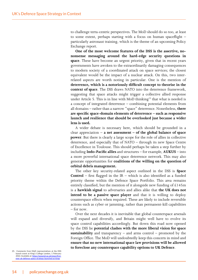to challenge terra-centric perspectives. The MoD should do so too, at least to some extent, perhaps starting with a focus on human spaceflight – particularly astronaut training, which is the theme of an upcoming Policy Exchange report.

**One of the most welcome features of the DSS is the assertive, nononsense messaging around the hard-edge security questions in space**. These have become an urgent priority, given that in recent years governments have awoken to the extraordinarily damaging consequences to modern society of a coordinated attack on space services; the closest equivalent would be the impact of a nuclear attack. On this, two interrelated aspects are worth noting in particular. One is the mention of **deterrence, which is a notoriously difficult concept to theorise in the context of space**. The DSS draws NATO into the deterrence framework, suggesting that space attacks might trigger a collective allied response under Article 5. This is in line with MoD thinking<sup>[25](#page-15-0)</sup> that what is needed is a concept of integrated deterrence – combining potential elements from all domains – rather than a narrow "space" deterrence. Nonetheless, **there are specific space-domain elements of deterrence – such as responsive launch and resilience that should be overlooked just because a wider lens is used.**

A wider debate is necessary here, which should be grounded in a clear appreciation – **a net assessment – of the global balance of space power**. But there is clearly a large scope for the role of allies in collective deterrence, and especially that of NATO – through its new Space Centre of Excellence in Toulouse. This should perhaps be taken a step further by including **Indo-Pacific allies** and structures – for example, **AUKUS** – into a more powerful international space deterrence network. This may also generate opportunities for **coalitions of the willing on the question of orbital debris management.**

The other key security-related aspect outlined in the DSS is **Space Control** – first flagged in the IR – which is also identified as a funded priority theme within the Defence Space Portfolio. This area remains entirely classified, but the mention of it alongside new funding of  $£145m$ is a **hawkish signal** to adversaries and allies alike that **the UK does not intend to be a passive space player** and that it is willing to deploy counterspace effects when required. These are likely to include reversible actions such as cyber or jamming, rather than permanent-kill capabilities – for now.

Over the next decades it is inevitable that global counterspace arsenals will expand and diversify, and Britain might well have to evolve its space control capabilities accordingly. But down this road now opened by the DSS lie **potential clashes with the more liberal vision for space sustainability** and transparency – and arms control – promoted by the Foreign Office. The MoD will undoubtedly keep this concern in mind and **ensure that no new international space law provisions will be allowed to foreclose any counterspace capability options to UK Defence**.

<span id="page-15-0"></span>25. Comments from MoD representatives at the DSS launch event at King's College London, 1 February 2022. Available at: [https://www.kcl.ac.uk/news/first](https://www.kcl.ac.uk/news/first-ever-uk-defence-space-strategy-launched-at-kings)[ever-uk-defence-space-strategy-launched-at-kings](https://www.kcl.ac.uk/news/first-ever-uk-defence-space-strategy-launched-at-kings)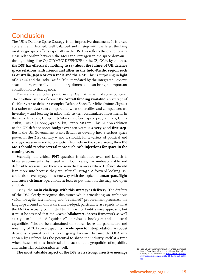#### <span id="page-16-0"></span>**Conclusion**

The UK's Defence Space Strategy is an impressive document. It is clear, coherent and detailed, well balanced and in step with the latest thinking on strategic space affairs especially in the US. This reflects the exceptionally close relationship between the MoD and Pentagon in the space domain – through things like Op OLYMPIC DEFENDER or the  $CSpOC<sup>26</sup>$ . By contrast, **the DSS has effectively nothing to say about the future of UK defence space relations with friends and allies in the Indo-Pacific region such as Australia, Japan or even India and the UAE.** This is surprising in light of AUKUS and the Indo-Pacific "tilt" mandated by the Integrated Review: space policy, especially in its military dimension, can bring an important contribution to that agenda.

There are a few other points in the DSS that remain of some concern. The headline issue is of course the **overall funding available**: an average of £140m/year to deliver a complex Defence Space Portfolio (minus Skynet) is a rather **modest sum** compared to what other allies and competitors are investing – and bearing in mind their *previous*, accumulated investments in this area. In 2020, US spent \$24bn on defence space programmes; China 2.8bn; Russia \$1.6bn; Japan \$1bn; France \$832m. This £1.4bn addition to the UK defence space budget over ten years is a **very good first step**. But if the UK Government wants Britain to develop into a serious space power in the 21st century – and it should, for a variety of political and strategic reasons – and to compete effectively in the space arena, then **the MoD should receive several more such cash injections for space in the coming years**.

Secondly, the critical **PNT** question is skimmed over and Launch is likewise summarily dismissed – in both cases, for understandable and defensible reasons, but these are nonetheless areas where Defence should lean more into because they are, after all, *strategic*. A forward looking DSS could also have engaged in some way with the topic of **human spaceflight** and future **cislunar** operations, at least to put them on the map and open a debate.

Lastly, the **main challenge with this strategy is delivery**. The drafters of the DSS clearly recognise this issue: while articulating an ambitious vision for agile, fast-moving and "redefined" procurement processes, the language around all this is carefully hedged, particularly as regards to what the MoD is actually committed to. This is no doubt a wise approach, but it must be stressed that the **Own-Collaborate-Access** framework as well as a yet-to-be-defined "guidance" on what technologies and industrial capabilities "should be maintained on shore" leave the parameters and meaning of "*UK* space capability" **wide open to interpretation**. A robust debate is required on this topic, going forward, because the OCA mix chosen by Defence has the potential to shape the industry itself at a time when these decisions should take into account the geopolitics of capability and industrial collaboration as well.

**The most valuable aspect of the DSS is its strong, assertive message** 26. See US Strategic Command, Fact Sheet: Combined

<span id="page-16-1"></span>Space Operations Center / 614th Air Operations Center, 2018, Available at: [https://www.stratcom.](https://www.stratcom.mil/Portals/8/Documents/CSpOC_Factsheet_2018.pdf) [mil/Portals/8/Documents/CSpOC\\_Factsheet\\_2018.](https://www.stratcom.mil/Portals/8/Documents/CSpOC_Factsheet_2018.pdf) [pdf](https://www.stratcom.mil/Portals/8/Documents/CSpOC_Factsheet_2018.pdf)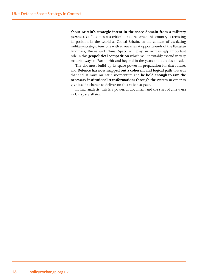**about Britain's strategic intent in the space domain from a military perspective**. It comes at a critical juncture, when this country is recasting its position in the world as Global Britain, in the context of escalating military-strategic tensions with adversaries at opposite ends of the Eurasian landmass, Russia and China. Space will play an increasingly important role in this **geopolitical competition** which will inevitably extend in very material ways to Earth orbit and beyond in the years and decades ahead.

The UK must build up its space power in preparation for that future, and **Defence has now mapped out a coherent and logical path** towards that end. It must maintain momentum and **be bold enough to ram the necessary institutional transformations through the system** in order to give itself a chance to deliver on this vision at pace.

In final analysis, this is a powerful document and the start of a new era in UK space affairs.